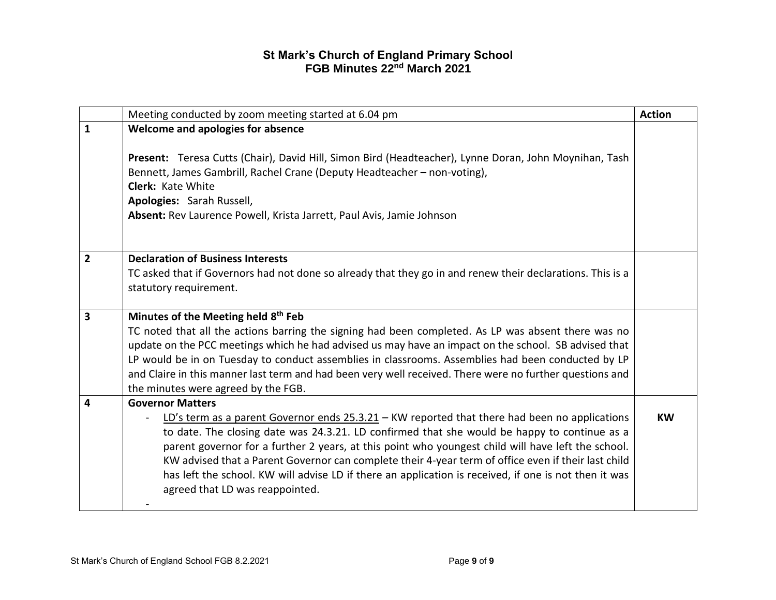|                | Meeting conducted by zoom meeting started at 6.04 pm                                                                                                                                                                                                                                                                                                                                                                                                                                                                                                     | <b>Action</b> |
|----------------|----------------------------------------------------------------------------------------------------------------------------------------------------------------------------------------------------------------------------------------------------------------------------------------------------------------------------------------------------------------------------------------------------------------------------------------------------------------------------------------------------------------------------------------------------------|---------------|
| 1              | Welcome and apologies for absence                                                                                                                                                                                                                                                                                                                                                                                                                                                                                                                        |               |
|                | Present: Teresa Cutts (Chair), David Hill, Simon Bird (Headteacher), Lynne Doran, John Moynihan, Tash<br>Bennett, James Gambrill, Rachel Crane (Deputy Headteacher - non-voting),<br><b>Clerk: Kate White</b><br>Apologies: Sarah Russell,<br>Absent: Rev Laurence Powell, Krista Jarrett, Paul Avis, Jamie Johnson                                                                                                                                                                                                                                      |               |
| $\overline{2}$ | <b>Declaration of Business Interests</b>                                                                                                                                                                                                                                                                                                                                                                                                                                                                                                                 |               |
|                | TC asked that if Governors had not done so already that they go in and renew their declarations. This is a<br>statutory requirement.                                                                                                                                                                                                                                                                                                                                                                                                                     |               |
| 3              | Minutes of the Meeting held 8th Feb                                                                                                                                                                                                                                                                                                                                                                                                                                                                                                                      |               |
|                | TC noted that all the actions barring the signing had been completed. As LP was absent there was no                                                                                                                                                                                                                                                                                                                                                                                                                                                      |               |
|                | update on the PCC meetings which he had advised us may have an impact on the school. SB advised that<br>LP would be in on Tuesday to conduct assemblies in classrooms. Assemblies had been conducted by LP                                                                                                                                                                                                                                                                                                                                               |               |
|                | and Claire in this manner last term and had been very well received. There were no further questions and<br>the minutes were agreed by the FGB.                                                                                                                                                                                                                                                                                                                                                                                                          |               |
| 4              | <b>Governor Matters</b>                                                                                                                                                                                                                                                                                                                                                                                                                                                                                                                                  |               |
|                | LD's term as a parent Governor ends $25.3.21$ – KW reported that there had been no applications<br>to date. The closing date was 24.3.21. LD confirmed that she would be happy to continue as a<br>parent governor for a further 2 years, at this point who youngest child will have left the school.<br>KW advised that a Parent Governor can complete their 4-year term of office even if their last child<br>has left the school. KW will advise LD if there an application is received, if one is not then it was<br>agreed that LD was reappointed. | <b>KW</b>     |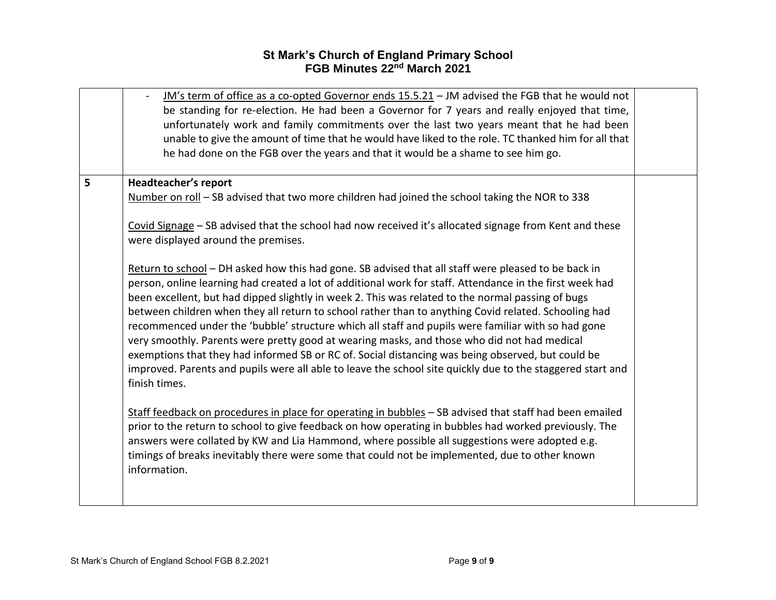|   | JM's term of office as a co-opted Governor ends 15.5.21 - JM advised the FGB that he would not<br>be standing for re-election. He had been a Governor for 7 years and really enjoyed that time,<br>unfortunately work and family commitments over the last two years meant that he had been<br>unable to give the amount of time that he would have liked to the role. TC thanked him for all that<br>he had done on the FGB over the years and that it would be a shame to see him go.                                                                                                                                                                                                                                                                                                                                                                               |  |
|---|-----------------------------------------------------------------------------------------------------------------------------------------------------------------------------------------------------------------------------------------------------------------------------------------------------------------------------------------------------------------------------------------------------------------------------------------------------------------------------------------------------------------------------------------------------------------------------------------------------------------------------------------------------------------------------------------------------------------------------------------------------------------------------------------------------------------------------------------------------------------------|--|
| 5 | Headteacher's report                                                                                                                                                                                                                                                                                                                                                                                                                                                                                                                                                                                                                                                                                                                                                                                                                                                  |  |
|   | Number on roll - SB advised that two more children had joined the school taking the NOR to 338                                                                                                                                                                                                                                                                                                                                                                                                                                                                                                                                                                                                                                                                                                                                                                        |  |
|   | Covid Signage - SB advised that the school had now received it's allocated signage from Kent and these<br>were displayed around the premises.                                                                                                                                                                                                                                                                                                                                                                                                                                                                                                                                                                                                                                                                                                                         |  |
|   | Return to school - DH asked how this had gone. SB advised that all staff were pleased to be back in<br>person, online learning had created a lot of additional work for staff. Attendance in the first week had<br>been excellent, but had dipped slightly in week 2. This was related to the normal passing of bugs<br>between children when they all return to school rather than to anything Covid related. Schooling had<br>recommenced under the 'bubble' structure which all staff and pupils were familiar with so had gone<br>very smoothly. Parents were pretty good at wearing masks, and those who did not had medical<br>exemptions that they had informed SB or RC of. Social distancing was being observed, but could be<br>improved. Parents and pupils were all able to leave the school site quickly due to the staggered start and<br>finish times. |  |
|   | Staff feedback on procedures in place for operating in bubbles - SB advised that staff had been emailed<br>prior to the return to school to give feedback on how operating in bubbles had worked previously. The<br>answers were collated by KW and Lia Hammond, where possible all suggestions were adopted e.g.<br>timings of breaks inevitably there were some that could not be implemented, due to other known<br>information.                                                                                                                                                                                                                                                                                                                                                                                                                                   |  |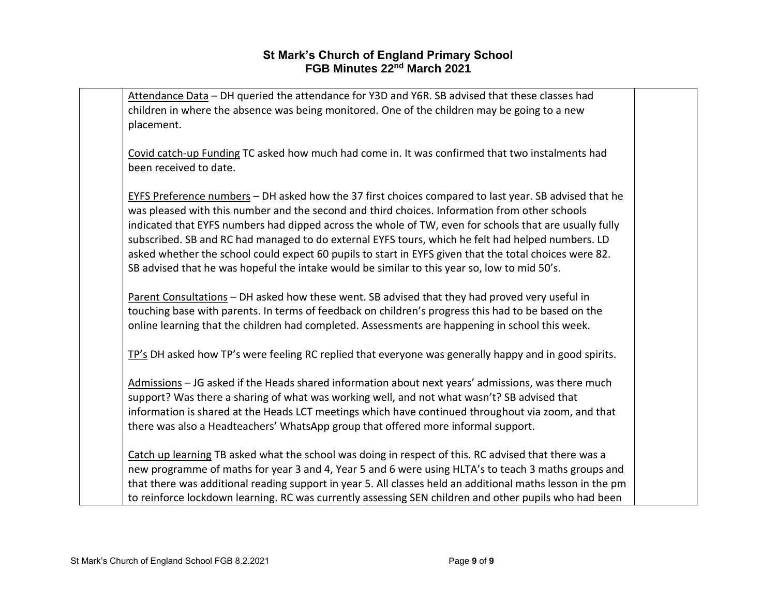| Attendance Data - DH queried the attendance for Y3D and Y6R. SB advised that these classes had<br>children in where the absence was being monitored. One of the children may be going to a new         |  |
|--------------------------------------------------------------------------------------------------------------------------------------------------------------------------------------------------------|--|
| placement.                                                                                                                                                                                             |  |
| Covid catch-up Funding TC asked how much had come in. It was confirmed that two instalments had<br>been received to date.                                                                              |  |
|                                                                                                                                                                                                        |  |
| EYFS Preference numbers - DH asked how the 37 first choices compared to last year. SB advised that he<br>was pleased with this number and the second and third choices. Information from other schools |  |
| indicated that EYFS numbers had dipped across the whole of TW, even for schools that are usually fully                                                                                                 |  |
| subscribed. SB and RC had managed to do external EYFS tours, which he felt had helped numbers. LD                                                                                                      |  |
| asked whether the school could expect 60 pupils to start in EYFS given that the total choices were 82.                                                                                                 |  |
| SB advised that he was hopeful the intake would be similar to this year so, low to mid 50's.                                                                                                           |  |
| Parent Consultations - DH asked how these went. SB advised that they had proved very useful in                                                                                                         |  |
| touching base with parents. In terms of feedback on children's progress this had to be based on the                                                                                                    |  |
| online learning that the children had completed. Assessments are happening in school this week.                                                                                                        |  |
| TP's DH asked how TP's were feeling RC replied that everyone was generally happy and in good spirits.                                                                                                  |  |
| Admissions - JG asked if the Heads shared information about next years' admissions, was there much                                                                                                     |  |
| support? Was there a sharing of what was working well, and not what wasn't? SB advised that                                                                                                            |  |
| information is shared at the Heads LCT meetings which have continued throughout via zoom, and that                                                                                                     |  |
| there was also a Headteachers' WhatsApp group that offered more informal support.                                                                                                                      |  |
| Catch up learning TB asked what the school was doing in respect of this. RC advised that there was a                                                                                                   |  |
| new programme of maths for year 3 and 4, Year 5 and 6 were using HLTA's to teach 3 maths groups and                                                                                                    |  |
| that there was additional reading support in year 5. All classes held an additional maths lesson in the pm                                                                                             |  |
| to reinforce lockdown learning. RC was currently assessing SEN children and other pupils who had been                                                                                                  |  |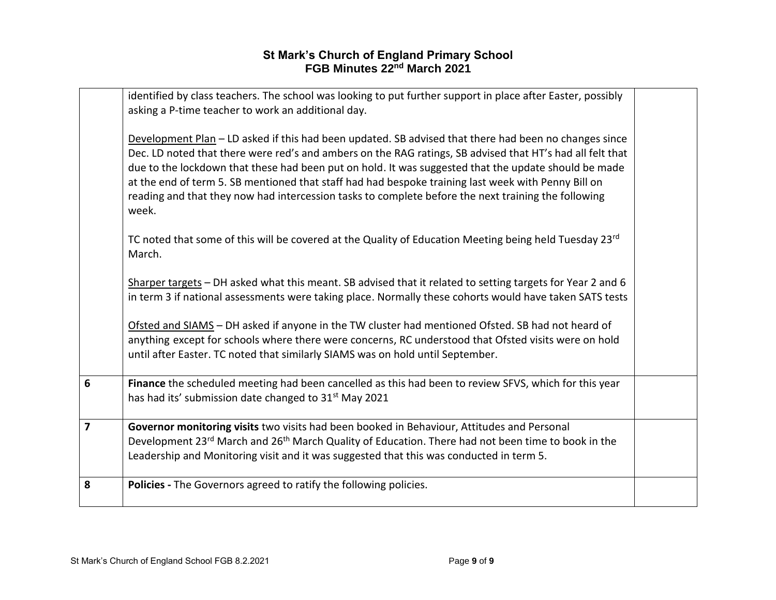|                         | identified by class teachers. The school was looking to put further support in place after Easter, possibly<br>asking a P-time teacher to work an additional day.                                                                                                                                                                                                                                                                                                                                                                                 |  |
|-------------------------|---------------------------------------------------------------------------------------------------------------------------------------------------------------------------------------------------------------------------------------------------------------------------------------------------------------------------------------------------------------------------------------------------------------------------------------------------------------------------------------------------------------------------------------------------|--|
|                         | Development Plan - LD asked if this had been updated. SB advised that there had been no changes since<br>Dec. LD noted that there were red's and ambers on the RAG ratings, SB advised that HT's had all felt that<br>due to the lockdown that these had been put on hold. It was suggested that the update should be made<br>at the end of term 5. SB mentioned that staff had had bespoke training last week with Penny Bill on<br>reading and that they now had intercession tasks to complete before the next training the following<br>week. |  |
|                         | TC noted that some of this will be covered at the Quality of Education Meeting being held Tuesday 23rd<br>March.                                                                                                                                                                                                                                                                                                                                                                                                                                  |  |
|                         | Sharper targets - DH asked what this meant. SB advised that it related to setting targets for Year 2 and 6<br>in term 3 if national assessments were taking place. Normally these cohorts would have taken SATS tests                                                                                                                                                                                                                                                                                                                             |  |
|                         | Ofsted and SIAMS - DH asked if anyone in the TW cluster had mentioned Ofsted. SB had not heard of<br>anything except for schools where there were concerns, RC understood that Ofsted visits were on hold<br>until after Easter. TC noted that similarly SIAMS was on hold until September.                                                                                                                                                                                                                                                       |  |
| $6\phantom{1}$          | Finance the scheduled meeting had been cancelled as this had been to review SFVS, which for this year<br>has had its' submission date changed to 31 <sup>st</sup> May 2021                                                                                                                                                                                                                                                                                                                                                                        |  |
| $\overline{\mathbf{z}}$ | Governor monitoring visits two visits had been booked in Behaviour, Attitudes and Personal<br>Development 23 <sup>rd</sup> March and 26 <sup>th</sup> March Quality of Education. There had not been time to book in the<br>Leadership and Monitoring visit and it was suggested that this was conducted in term 5.                                                                                                                                                                                                                               |  |
| 8                       | Policies - The Governors agreed to ratify the following policies.                                                                                                                                                                                                                                                                                                                                                                                                                                                                                 |  |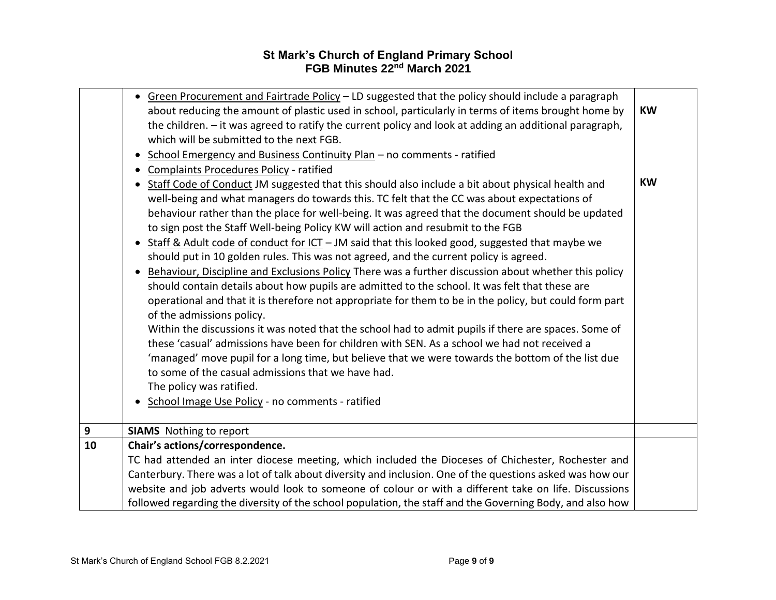|    | • Green Procurement and Fairtrade Policy - LD suggested that the policy should include a paragraph<br>about reducing the amount of plastic used in school, particularly in terms of items brought home by<br>the children. - it was agreed to ratify the current policy and look at adding an additional paragraph,<br>which will be submitted to the next FGB.<br>School Emergency and Business Continuity Plan - no comments - ratified<br>$\bullet$<br>Complaints Procedures Policy - ratified<br>Staff Code of Conduct JM suggested that this should also include a bit about physical health and<br>$\bullet$<br>well-being and what managers do towards this. TC felt that the CC was about expectations of<br>behaviour rather than the place for well-being. It was agreed that the document should be updated<br>to sign post the Staff Well-being Policy KW will action and resubmit to the FGB<br>Staff & Adult code of conduct for ICT - JM said that this looked good, suggested that maybe we<br>$\bullet$<br>should put in 10 golden rules. This was not agreed, and the current policy is agreed.<br>Behaviour, Discipline and Exclusions Policy There was a further discussion about whether this policy<br>should contain details about how pupils are admitted to the school. It was felt that these are<br>operational and that it is therefore not appropriate for them to be in the policy, but could form part | <b>KW</b><br><b>KW</b> |
|----|---------------------------------------------------------------------------------------------------------------------------------------------------------------------------------------------------------------------------------------------------------------------------------------------------------------------------------------------------------------------------------------------------------------------------------------------------------------------------------------------------------------------------------------------------------------------------------------------------------------------------------------------------------------------------------------------------------------------------------------------------------------------------------------------------------------------------------------------------------------------------------------------------------------------------------------------------------------------------------------------------------------------------------------------------------------------------------------------------------------------------------------------------------------------------------------------------------------------------------------------------------------------------------------------------------------------------------------------------------------------------------------------------------------------------------------|------------------------|
|    | of the admissions policy.<br>Within the discussions it was noted that the school had to admit pupils if there are spaces. Some of<br>these 'casual' admissions have been for children with SEN. As a school we had not received a<br>'managed' move pupil for a long time, but believe that we were towards the bottom of the list due<br>to some of the casual admissions that we have had.<br>The policy was ratified.<br>School Image Use Policy - no comments - ratified                                                                                                                                                                                                                                                                                                                                                                                                                                                                                                                                                                                                                                                                                                                                                                                                                                                                                                                                                          |                        |
| 9  | <b>SIAMS</b> Nothing to report                                                                                                                                                                                                                                                                                                                                                                                                                                                                                                                                                                                                                                                                                                                                                                                                                                                                                                                                                                                                                                                                                                                                                                                                                                                                                                                                                                                                        |                        |
| 10 | Chair's actions/correspondence.<br>TC had attended an inter diocese meeting, which included the Dioceses of Chichester, Rochester and<br>Canterbury. There was a lot of talk about diversity and inclusion. One of the questions asked was how our<br>website and job adverts would look to someone of colour or with a different take on life. Discussions<br>followed regarding the diversity of the school population, the staff and the Governing Body, and also how                                                                                                                                                                                                                                                                                                                                                                                                                                                                                                                                                                                                                                                                                                                                                                                                                                                                                                                                                              |                        |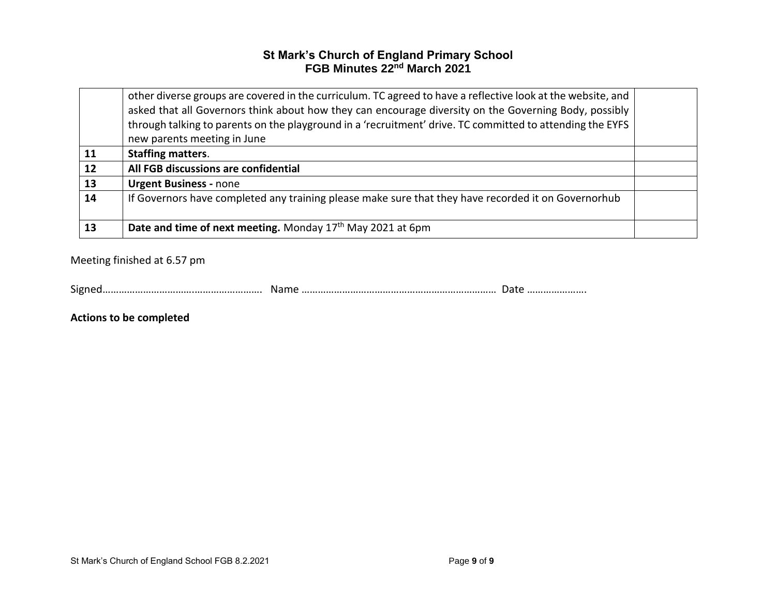|    | other diverse groups are covered in the curriculum. TC agreed to have a reflective look at the website, and<br>asked that all Governors think about how they can encourage diversity on the Governing Body, possibly<br>through talking to parents on the playground in a 'recruitment' drive. TC committed to attending the EYFS |  |
|----|-----------------------------------------------------------------------------------------------------------------------------------------------------------------------------------------------------------------------------------------------------------------------------------------------------------------------------------|--|
|    | new parents meeting in June                                                                                                                                                                                                                                                                                                       |  |
| 11 | <b>Staffing matters.</b>                                                                                                                                                                                                                                                                                                          |  |
| 12 | All FGB discussions are confidential                                                                                                                                                                                                                                                                                              |  |
| 13 | <b>Urgent Business - none</b>                                                                                                                                                                                                                                                                                                     |  |
| 14 | If Governors have completed any training please make sure that they have recorded it on Governorhub                                                                                                                                                                                                                               |  |
| 13 | Date and time of next meeting. Monday 17 <sup>th</sup> May 2021 at 6pm                                                                                                                                                                                                                                                            |  |

Meeting finished at 6.57 pm

|--|--|--|

**Actions to be completed**